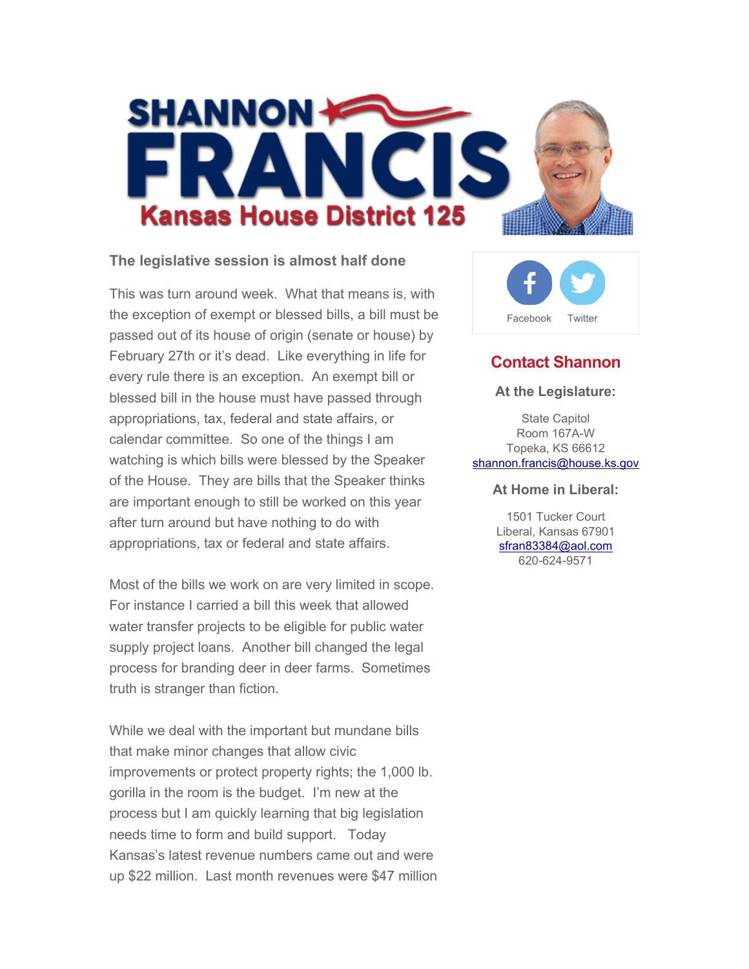

#### **The legislative session is almost half done**

This was turn around week. What that means is, with the exception of exempt or blessed bills, a bill must be passed out of its house of origin (senate or house) by February 27th or it's dead. Like everything in life for every rule there is an exception. An exempt bill or blessed bill in the house must have passed through appropriations, tax, federal and state affairs, or calendar committee. So one of the things I am watching is which bills were blessed by the Speaker of the House. They are bills that the Speaker thinks are important enough to still be worked on this year after turn around but have nothing to do with appropriations, tax or federal and state affairs.

Most of the bills we work on are very limited in scope. For instance I carried a bill this week that allowed water transfer projects to be eligible for public water supply project loans. Another bill changed the legal process for branding deer in deer farms. Sometimes truth is stranger than fiction.

While we deal with the important but mundane bills that make minor changes that allow civic improvements or protect property rights; the 1,000 lb. gorilla in the room is the budget. I'm new at the process but I am quickly learning that big legislation needs time to form and build support. Today Kansas's latest revenue numbers came out and were up \$22 million. Last month revenues were \$47 million



## **Contact Shannon**

#### **At the Legislature:**

State Capitol Room 167A-W Topeka, KS 66612 shannon.francis@house.ks.gov

#### **At Home in Liberal:**

1501 Tucker Court Liberal, Kansas 67901 sfran83384@aol.com 620-624-9571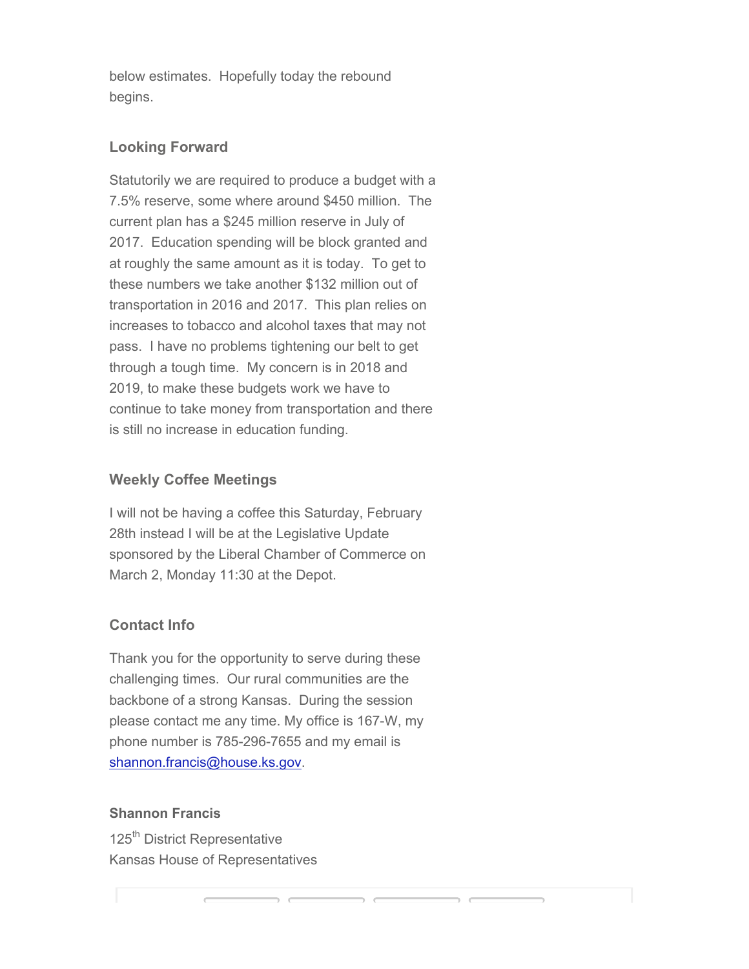below estimates. Hopefully today the rebound begins.

### **Looking Forward**

Statutorily we are required to produce a budget with a 7.5% reserve, some where around \$450 million. The current plan has a \$245 million reserve in July of 2017. Education spending will be block granted and at roughly the same amount as it is today. To get to these numbers we take another \$132 million out of transportation in 2016 and 2017. This plan relies on increases to tobacco and alcohol taxes that may not pass. I have no problems tightening our belt to get through a tough time. My concern is in 2018 and 2019, to make these budgets work we have to continue to take money from transportation and there is still no increase in education funding.

# **Weekly Coffee Meetings**

I will not be having a coffee this Saturday, February 28th instead I will be at the Legislative Update sponsored by the Liberal Chamber of Commerce on March 2, Monday 11:30 at the Depot.

## **Contact Info**

Thank you for the opportunity to serve during these challenging times. Our rural communities are the backbone of a strong Kansas. During the session please contact me any time. My office is 167-W, my phone number is 785-296-7655 and my email is shannon.francis@house.ks.gov.

### **Shannon Francis**

125<sup>th</sup> District Representative Kansas House of Representatives